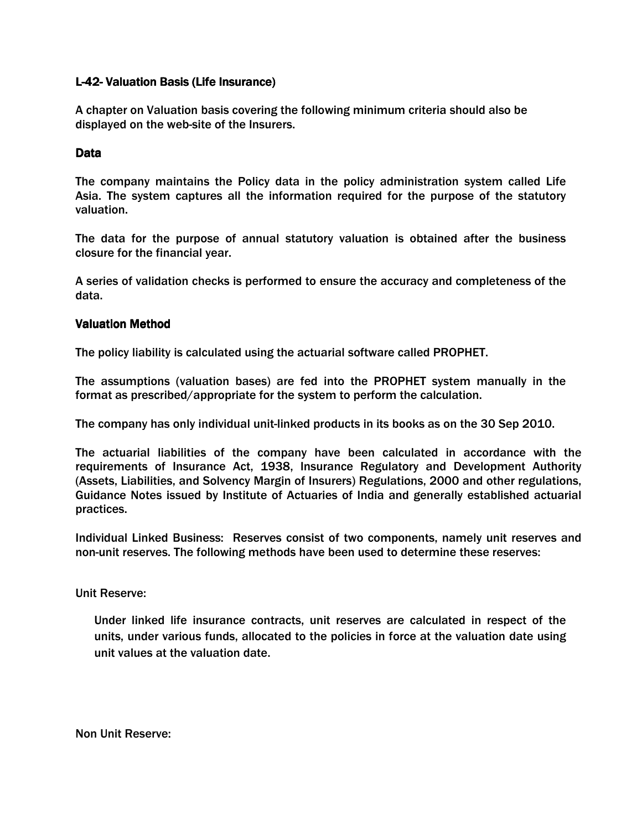## L-42- Valuation Basis (Life Insurance)

A chapter on Valuation basis covering the following minimum criteria should also be displayed on the web-site of the Insurers.

# Data

The company maintains the Policy data in the policy administration system called Life Asia. The system captures all the information required for the purpose of the statutory valuation.

The data for the purpose of annual statutory valuation is obtained after the business closure for the financial year.

A series of validation checks is performed to ensure the accuracy and completeness of the data.

# Valuation Method

The policy liability is calculated using the actuarial software called PROPHET.

The assumptions (valuation bases) are fed into the PROPHET system manually in the format as prescribed/appropriate for the system to perform the calculation.

The company has only individual unit-linked products in its books as on the 30 Sep 2010.

The actuarial liabilities of the company have been calculated in accordance with the requirements of Insurance Act, 1938, Insurance Regulatory and Development Authority (Assets, Liabilities, and Solvency Margin of Insurers) Regulations, 2000 and other regulations, Guidance Notes issued by Institute of Actuaries of India and generally established actuarial practices.

Individual Linked Business: Reserves consist of two components, namely unit reserves and non-unit reserves. The following methods have been used to determine these reserves:

Unit Reserve:

Under linked life insurance contracts, unit reserves are calculated in respect of the units, under various funds, allocated to the policies in force at the valuation date using unit values at the valuation date.

Non Unit Reserve: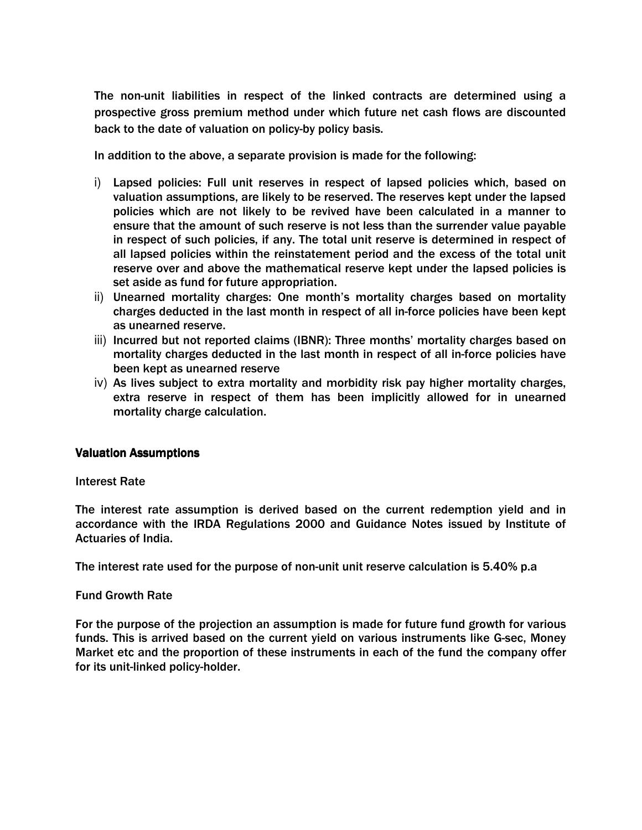The non-unit liabilities in respect of the linked contracts are determined using a prospective gross premium method under which future net cash flows are discounted back to the date of valuation on policy-by policy basis.

In addition to the above, a separate provision is made for the following:

- i) Lapsed policies: Full unit reserves in respect of lapsed policies which, based on valuation assumptions, are likely to be reserved. The reserves kept under the lapsed policies which are not likely to be revived have been calculated in a manner to ensure that the amount of such reserve is not less than the surrender value payable in respect of such policies, if any. The total unit reserve is determined in respect of all lapsed policies within the reinstatement period and the excess of the total unit reserve over and above the mathematical reserve kept under the lapsed policies is set aside as fund for future appropriation.
- ii) Unearned mortality charges: One month's mortality charges based on mortality charges deducted in the last month in respect of all in-force policies have been kept as unearned reserve.
- iii) Incurred but not reported claims (IBNR): Three months' mortality charges based on mortality charges deducted in the last month in respect of all in-force policies have been kept as unearned reserve
- iv) As lives subject to extra mortality and morbidity risk pay higher mortality charges, extra reserve in respect of them has been implicitly allowed for in unearned mortality charge calculation.

## **Valuation Assumptions**

## Interest Rate

The interest rate assumption is derived based on the current redemption yield and in accordance with the IRDA Regulations 2000 and Guidance Notes issued by Institute of Actuaries of India.

The interest rate used for the purpose of non-unit unit reserve calculation is 5.40% p.a

## Fund Growth Rate

For the purpose of the projection an assumption is made for future fund growth for various funds. This is arrived based on the current yield on various instruments like G-sec, Money Market etc and the proportion of these instruments in each of the fund the company offer for its unit-linked policy-holder.